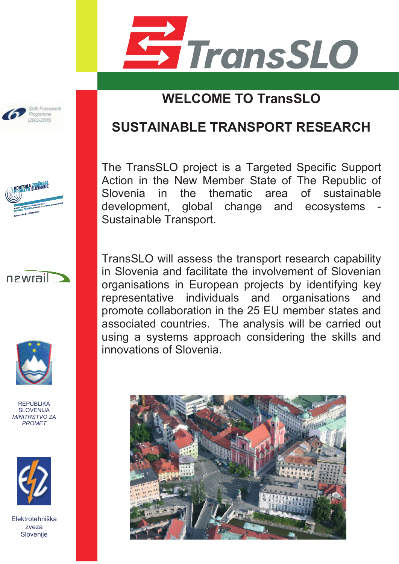

## **WELCOME TO TransSLO**

### **SUSTAINABLE TRANSPORT RESEARCH**

The TransSLO project is a Targeted Specific Support Action in the New Member State of The Republic of Slovenia in the thematic area of sustainable development, global change and ecosystems Sustainable Transport.

TransSLO will assess the transport research capability in Slovenia and facilitate the involvement of Slovenian organisations in European projects by identifying key representative individuals and organisations and promote collaboration in the 25 EU member states and associated countries. The analysis will be carried out using a systems approach considering the skills and innovations of Slovenia.











REPUBLIKA SLOVENLIA *MINITRSTVO ZA PROMET*

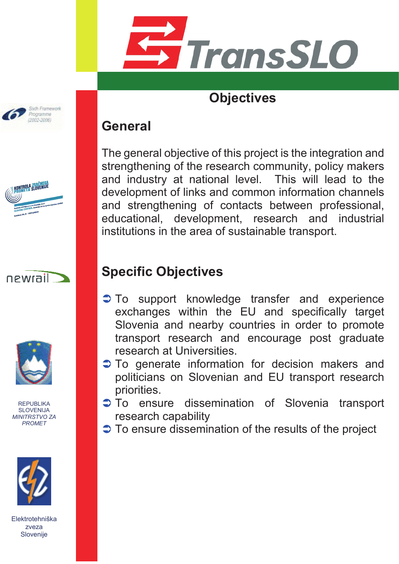

### **Objectives**

#### **General**

The general objective of this project is the integration and strengthening of the research community, policy makers and industry at national level. This will lead to the development of links and common information channels and strengthening of contacts between professional, educational, development, research and industrial institutions in the area of sustainable transport.

# **Specific Objectives**

- To support knowledge transfer and experience exchanges within the EU and specifically target Slovenia and nearby countries in order to promote transport research and encourage post graduate research at Universities.
- $\supset$  To generate information for decision makers and politicians on Slovenian and EU transport research priorities.
- $\supset$  To ensure dissemination of Slovenia transport research capability
- $\supset$  To ensure dissemination of the results of the project









REPUBLIKA SLOVENLIA *MINITRSTVO ZA PROMET*

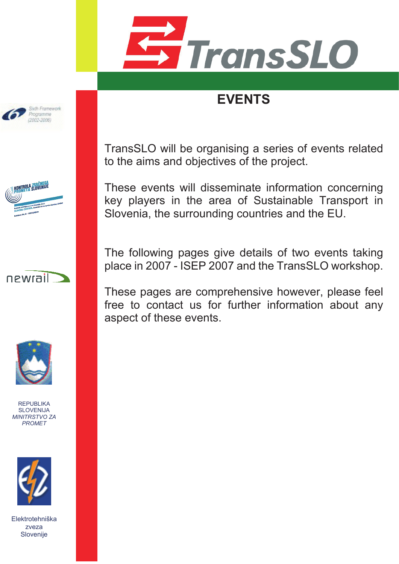

# **EVENTS**



KONTROLA ZRAČNEGA

TransSLO will be organising a series of events related to the aims and objectives of the project.

These events will disseminate information concerning key players in the area of Sustainable Transport in Slovenia, the surrounding countries and the EU.

The following pages give details of two events taking place in 2007 - ISEP 2007 and the TransSLO workshop.

These pages are comprehensive however, please feel free to contact us for further information about any aspect of these events.





REPUBLIKA SLOVENLIA *MINITRSTVO ZA PROMET*

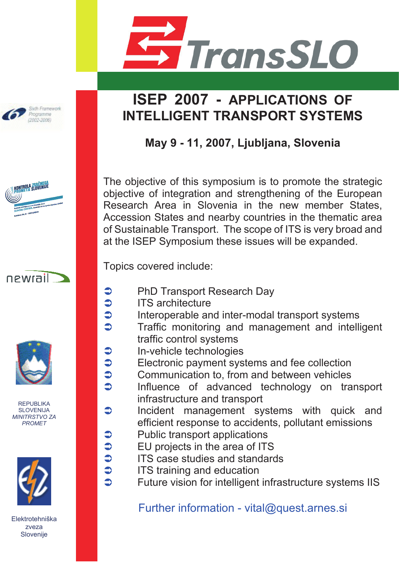



**May 9 - 11, 2007, Ljubljana, Slovenia**

The objective of this symposium is to promote the strategic objective of integration and strengthening of the European Research Area in Slovenia in the new member States, Accession States and nearby countries in the thematic area of Sustainable Transport. The scope of ITS is very broad and at the ISEP Symposium these issues will be expanded.

Topics covered include:

- **●** PhD Transport Research Day<br>● ITS architecture
	- ITS architecture

 $\bullet$ 

 $\bullet$ 

 $\bullet$ 

- $\ddot{\bullet}$  $\bullet$  Interoperable and inter-modal transport systems<br> $\bullet$  Traffic monitoring and management and intelli
	- Traffic monitoring and management and intelligent traffic control systems
- **●** In-vehicle technologies<br>● Electronic payment sys
	- Electronic payment systems and fee collection
- $\bullet$  $\bullet$  Communication to, from and between vehicles<br> $\bullet$  Influence of advanced technology on tra
	- Influence of advanced technology on transport infrastructure and transport
- $\bullet$  Incident management systems with quick and efficient response to accidents, pollutant emissions
- <p>▶</p>\n<p>Sublic transport applications</p>\n<p>▶</p>\n<p>El projects in the area of ITS</p>\n<p>▶</p>\n<p>IFS case studies and standa</p>\n<p>▶</p>\n<p>IFS training and education</p>
	- EU projects in the area of ITS
	- ITS case studies and standards
- $\supset$  ITS training and education
	- Future vision for intelligent infrastructure systems IIS

Further information - vital@quest.arnes.si



Sixth Framework Programme  $(2002, 2008)$ 





REPUBLIKA SLOVENLIA *MINITRSTVO ZA PROMET*

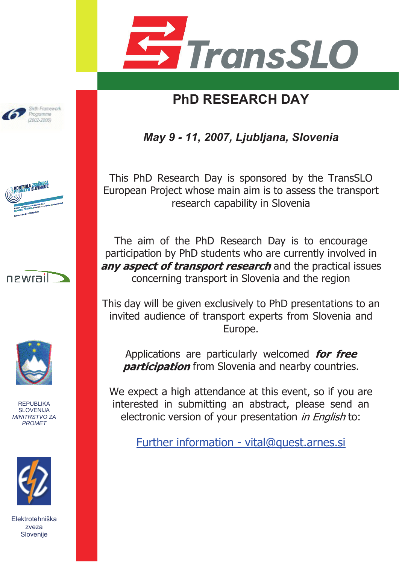

# **PhD RESEARCH DAY**

*May 9 - 11, 2007, Ljubljana, Slovenia*

This PhD Research Day is sponsored by the TransSLO European Project whose main aim is to assess the transport research capability in Slovenia

The aim of the PhD Research Day is to encourage participation by PhD students who are currently involved in anv aspect of transport research and the practical issues concerning transport in Slovenia and the region

This day will be given exclusively to PhD presentations to an invited audience of transport experts from Slovenia and Europe.

Applications are particularly welcomed for free **participation** from Slovenia and nearby countries.

We expect a high attendance at this event, so if you are interested in submitting an abstract, please send an electronic version of your presentation in English to:

Further information - vital@quest.arnes.si









REPUBLIKA SLOVENLIA *MINITRSTVO ZA PROMET*

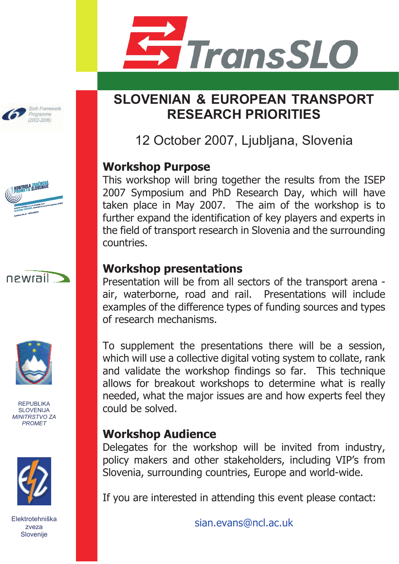

## **SLOVENIAN & EUROPEAN TRANSPORT RESEARCH PRIORITIES**

12 October 2007, Ljubljana, Slovenia

#### **Workshop Purpose**

This workshop will bring together the results from the ISEP 2007 Symposium and PhD Research Day, which will have taken place in May 2007. The aim of the workshop is to further expand the identification of key players and experts in the field of transport research in Slovenia and the surrounding countries.

#### **Workshop presentations**

Presentation will be from all sectors of the transport arena air, waterborne, road and rail. Presentations will include examples of the difference types of funding sources and types of research mechanisms.

To supplement the presentations there will be a session, which will use a collective digital voting system to collate, rank and validate the workshop findings so far. This technique allows for breakout workshops to determine what is really needed, what the major issues are and how experts feel they could be solved.

#### **Workshop Audience**

Delegates for the workshop will be invited from industry, policy makers and other stakeholders, including VIP's from Slovenia, surrounding countries, Europe and world-wide.

If you are interested in attending this event please contact:

sian.evans@ncl.ac.uk



Sixth Framework







REPUBLIKA SLOVENLIA *MINITRSTVO ZA PROMET*



Elektrotehniška zveza Slovenije